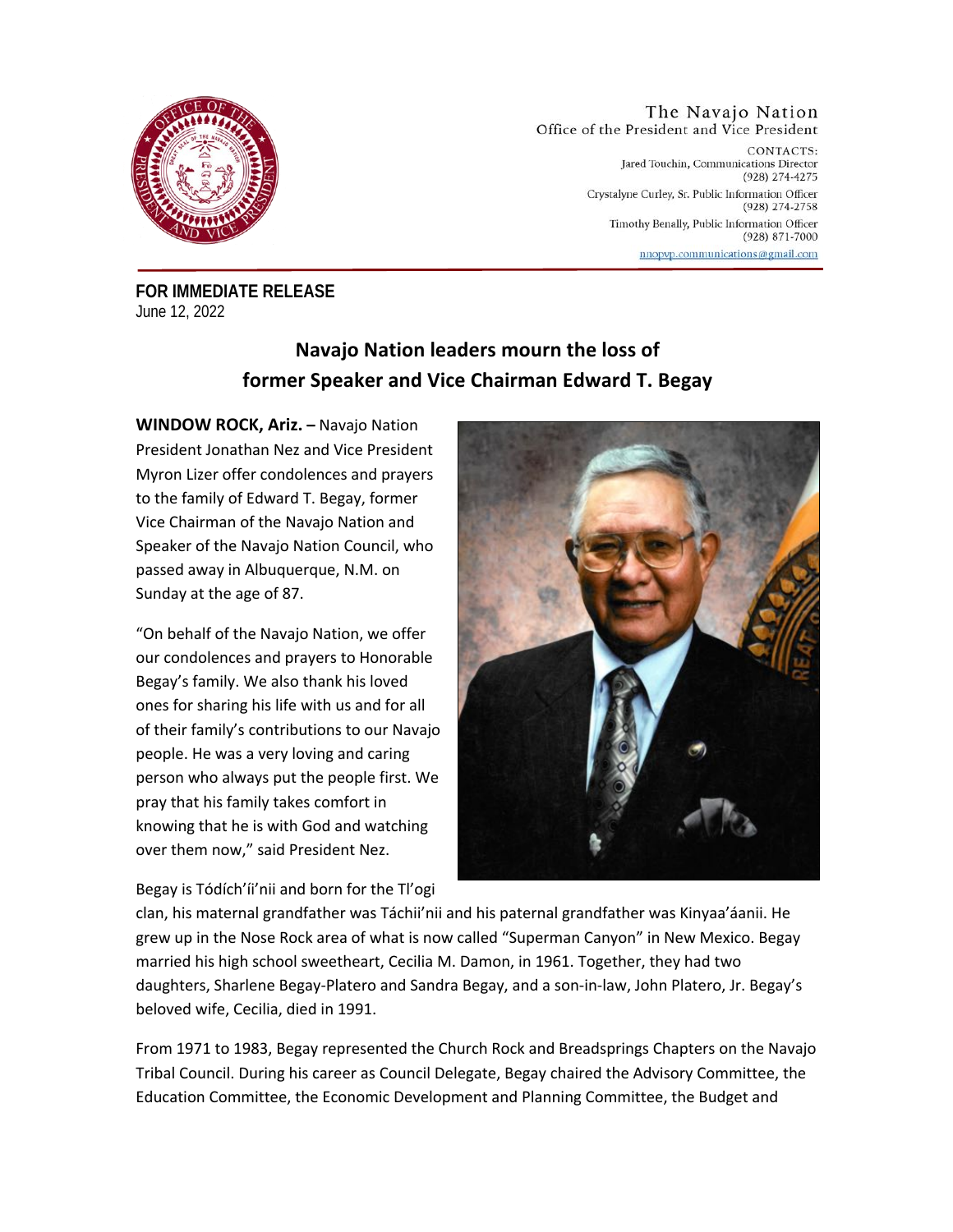

The Navajo Nation Office of the President and Vice President CONTACTS:

Jared Touchin, Communications Director (928) 274-4275 Crystalyne Curley, Sr. Public Information Officer (928) 274-2758 Timothy Benally, Public Information Officer (928) 871-7000 nnopvp.communications@gmail.com

**FOR IMMEDIATE RELEASE** June 12, 2022

## **Navajo Nation leaders mourn the loss of former Speaker and Vice Chairman Edward T. Begay**

**WINDOW ROCK, Ariz. –** Navajo Nation President Jonathan Nez and Vice President Myron Lizer offer condolences and prayers to the family of Edward T. Begay, former Vice Chairman of the Navajo Nation and Speaker of the Navajo Nation Council, who passed away in Albuquerque, N.M. on Sunday at the age of 87.

"On behalf of the Navajo Nation, we offer our condolences and prayers to Honorable Begay's family. We also thank his loved ones for sharing his life with us and for all of their family's contributions to our Navajo people. He was a very loving and caring person who always put the people first. We pray that his family takes comfort in knowing that he is with God and watching over them now," said President Nez.

Begay is Tódích'íi'nii and born for the Tl'ogi



clan, his maternal grandfather was Táchii'nii and his paternal grandfather was Kinyaa'áanii. He grew up in the Nose Rock area of what is now called "Superman Canyon" in New Mexico. Begay married his high school sweetheart, Cecilia M. Damon, in 1961. Together, they had two daughters, Sharlene Begay-Platero and Sandra Begay, and a son-in-law, John Platero, Jr. Begay's beloved wife, Cecilia, died in 1991.

From 1971 to 1983, Begay represented the Church Rock and Breadsprings Chapters on the Navajo Tribal Council. During his career as Council Delegate, Begay chaired the Advisory Committee, the Education Committee, the Economic Development and Planning Committee, the Budget and